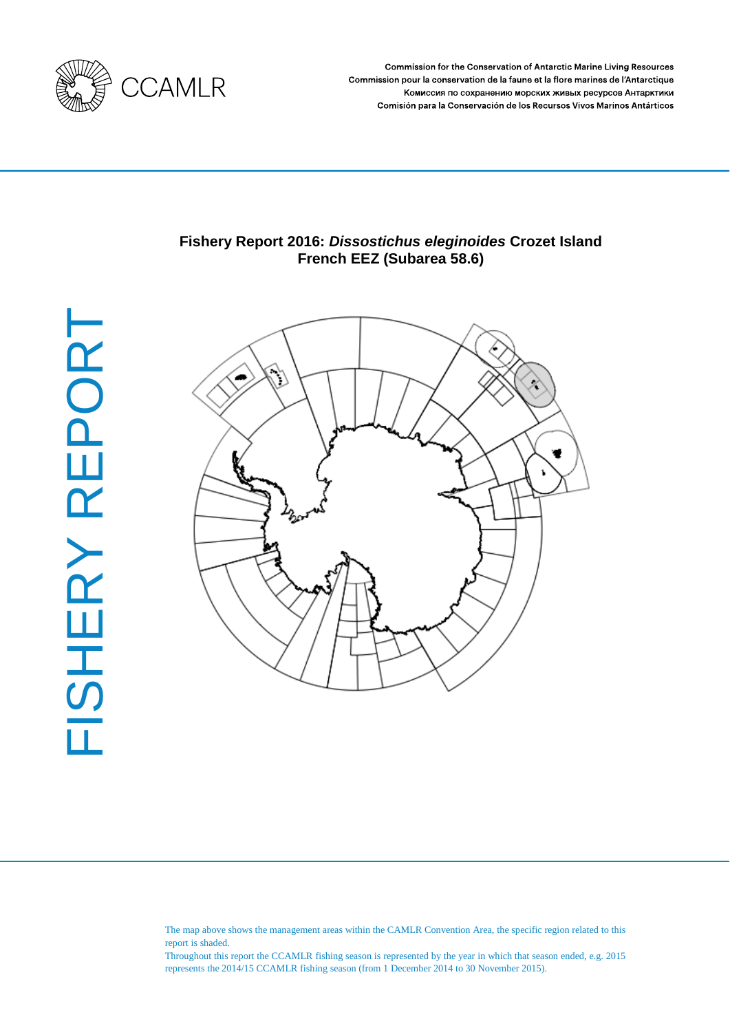

Commission for the Conservation of Antarctic Marine Living Resources Commission pour la conservation de la faune et la flore marines de l'Antarctique Комиссия по сохранению морских живых ресурсов Антарктики Comisión para la Conservación de los Recursos Vivos Marinos Antárticos

# **Fishery Report 2016:** *Dissostichus eleginoides* **Crozet Island French EEZ (Subarea 58.6)**



The map above shows the management areas within the CAMLR Convention Area, the specific region related to this report is shaded.

Throughout this report the CCAMLR fishing season is represented by the year in which that season ended, e.g. 2015 represents the 2014/15 CCAMLR fishing season (from 1 December 2014 to 30 November 2015).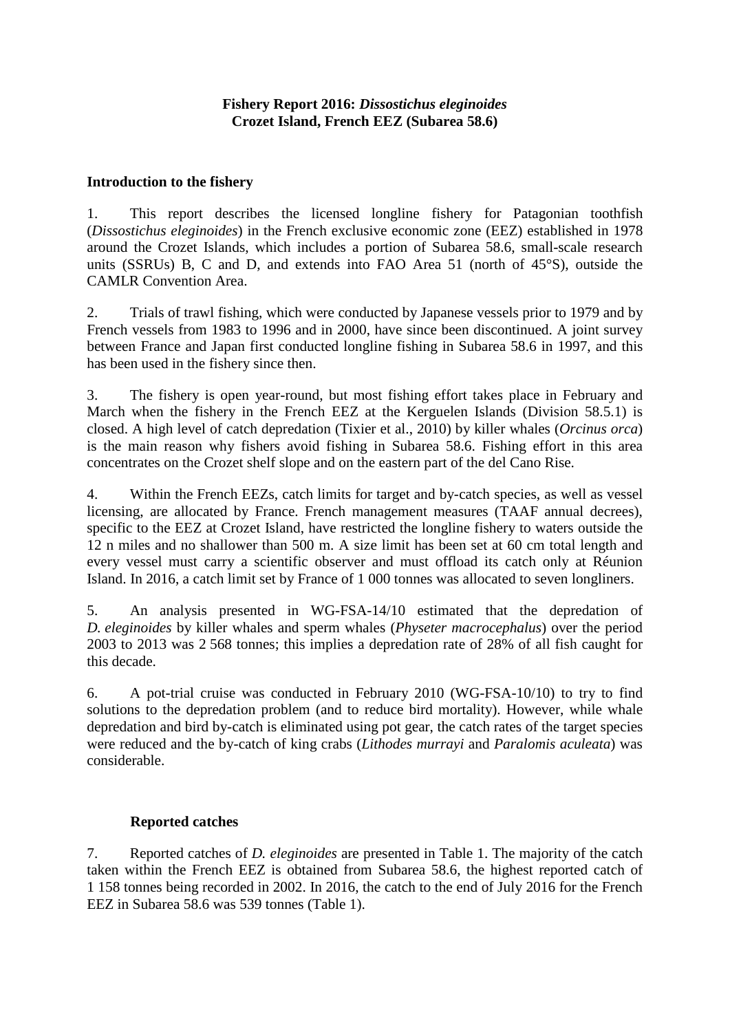## **Introduction to the fishery**

1. This report describes the licensed longline fishery for Patagonian toothfish (*Dissostichus eleginoides*) in the French exclusive economic zone (EEZ) established in 1978 around the Crozet Islands, which includes a portion of Subarea 58.6, small-scale research units (SSRUs) B, C and D, and extends into FAO Area 51 (north of 45°S), outside the CAMLR Convention Area.

2. Trials of trawl fishing, which were conducted by Japanese vessels prior to 1979 and by French vessels from 1983 to 1996 and in 2000, have since been discontinued. A joint survey between France and Japan first conducted longline fishing in Subarea 58.6 in 1997, and this has been used in the fishery since then.

3. The fishery is open year-round, but most fishing effort takes place in February and March when the fishery in the French EEZ at the Kerguelen Islands (Division 58.5.1) is closed. A high level of catch depredation (Tixier et al., 2010) by killer whales (*Orcinus orca*) is the main reason why fishers avoid fishing in Subarea 58.6. Fishing effort in this area concentrates on the Crozet shelf slope and on the eastern part of the del Cano Rise.

4. Within the French EEZs, catch limits for target and by-catch species, as well as vessel licensing, are allocated by France. French management measures (TAAF annual decrees), specific to the EEZ at Crozet Island, have restricted the longline fishery to waters outside the 12 n miles and no shallower than 500 m. A size limit has been set at 60 cm total length and every vessel must carry a scientific observer and must offload its catch only at Réunion Island. In 2016, a catch limit set by France of 1 000 tonnes was allocated to seven longliners.

5. An analysis presented in WG-FSA-14/10 estimated that the depredation of *D. eleginoides* by killer whales and sperm whales (*Physeter macrocephalus*) over the period 2003 to 2013 was 2 568 tonnes; this implies a depredation rate of 28% of all fish caught for this decade.

6. A pot-trial cruise was conducted in February 2010 [\(WG-FSA-10/10\)](http://www.ccamlr.org/en/wg-fsa-10/10) to try to find solutions to the depredation problem (and to reduce bird mortality). However, while whale depredation and bird by-catch is eliminated using pot gear, the catch rates of the target species were reduced and the by-catch of king crabs (*Lithodes murrayi* and *Paralomis aculeata*) was considerable.

## **Reported catches**

7. Reported catches of *D. eleginoides* are presented in Table 1. The majority of the catch taken within the French EEZ is obtained from Subarea 58.6, the highest reported catch of 1 158 tonnes being recorded in 2002. In 2016, the catch to the end of July 2016 for the French EEZ in Subarea 58.6 was 539 tonnes (Table 1).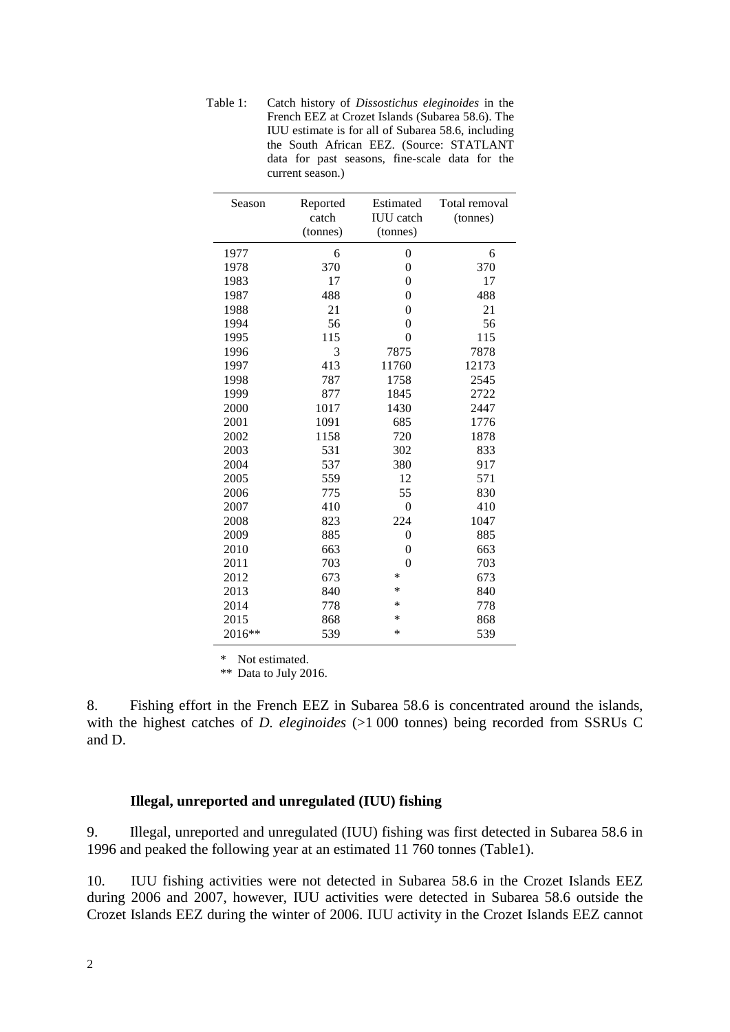Table 1: Catch history of *Dissostichus eleginoides* in the French EEZ at Crozet Islands (Subarea 58.6). The IUU estimate is for all of Subarea 58.6, including the South African EEZ. (Source: STATLANT data for past seasons, fine-scale data for the current season.)

| Season | Reported          | Estimated<br><b>IUU</b> catch | Total removal |  |  |
|--------|-------------------|-------------------------------|---------------|--|--|
|        | catch<br>(tonnes) | (tonnes)                      | (tonnes)      |  |  |
|        |                   |                               |               |  |  |
| 1977   | 6                 | 0                             | 6             |  |  |
| 1978   | 370               | $\mathbf{0}$                  | 370           |  |  |
| 1983   | 17                | $\overline{0}$                | 17            |  |  |
| 1987   | 488               | $\overline{0}$                | 488           |  |  |
| 1988   | 21                | $\overline{0}$                | 21            |  |  |
| 1994   | 56                | $\overline{0}$                | 56            |  |  |
| 1995   | 115               | $\overline{0}$                | 115           |  |  |
| 1996   | 3                 | 7875                          | 7878          |  |  |
| 1997   | 413               | 11760                         | 12173         |  |  |
| 1998   | 787               | 1758                          | 2545          |  |  |
| 1999   | 877               | 1845                          | 2722          |  |  |
| 2000   | 1017              | 1430                          | 2447          |  |  |
| 2001   | 1091              | 685                           | 1776          |  |  |
| 2002   | 1158              | 720                           | 1878          |  |  |
| 2003   | 531               | 302                           | 833           |  |  |
| 2004   | 537               | 380                           | 917           |  |  |
| 2005   | 559               | 12                            | 571           |  |  |
| 2006   | 775               | 55                            | 830           |  |  |
| 2007   | 410               | $\overline{0}$                | 410           |  |  |
| 2008   | 823               | 224                           | 1047          |  |  |
| 2009   | 885               | $\overline{0}$                | 885           |  |  |
| 2010   | 663               | $\mathbf{0}$                  | 663           |  |  |
| 2011   | 703               | $\mathbf{0}$                  | 703           |  |  |
| 2012   | 673               | *                             | 673           |  |  |
| 2013   | 840               | *                             | 840           |  |  |
| 2014   | 778               | *                             | 778           |  |  |
| 2015   | 868               | $\ast$                        | 868           |  |  |
| 2016** | 539               | *                             | 539           |  |  |

\* Not estimated.

\*\* Data to July 2016.

8. Fishing effort in the French EEZ in Subarea 58.6 is concentrated around the islands, with the highest catches of *D. eleginoides* (>1 000 tonnes) being recorded from SSRUs C and D.

### **Illegal, unreported and unregulated (IUU) fishing**

9. Illegal, unreported and unregulated (IUU) fishing was first detected in Subarea 58.6 in 1996 and peaked the following year at an estimated 11 760 tonnes (Table1).

10. IUU fishing activities were not detected in Subarea 58.6 in the Crozet Islands EEZ during 2006 and 2007, however, IUU activities were detected in Subarea 58.6 outside the Crozet Islands EEZ during the winter of 2006. IUU activity in the Crozet Islands EEZ cannot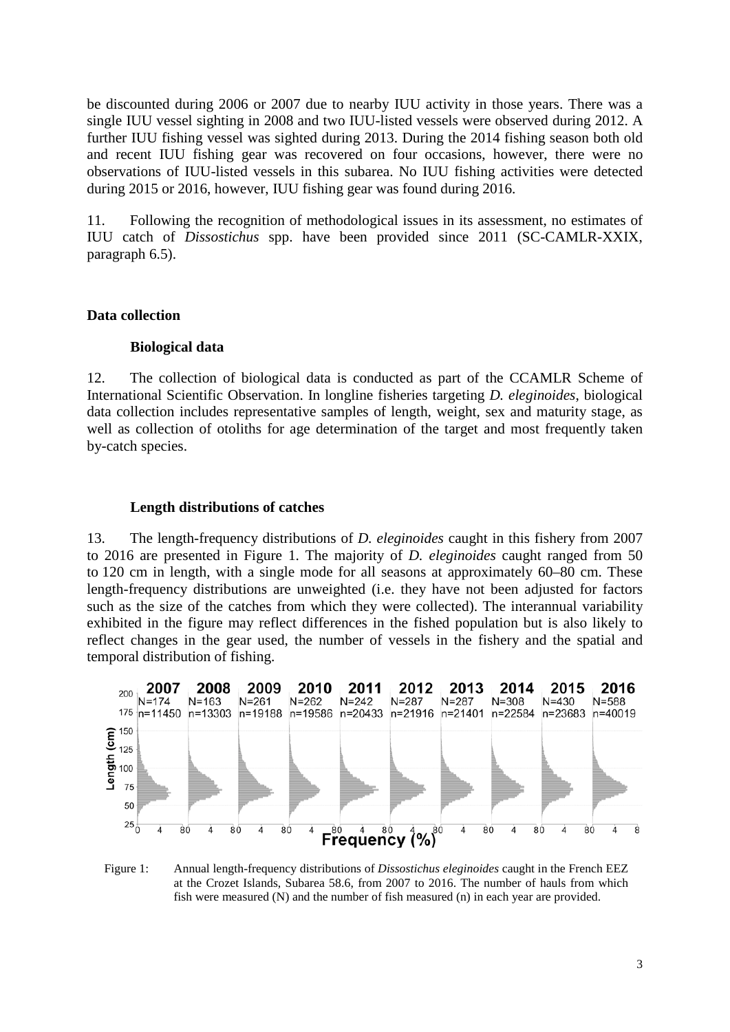be discounted during 2006 or 2007 due to nearby IUU activity in those years. There was a single IUU vessel sighting in 2008 and two IUU-listed vessels were observed during 2012. A further IUU fishing vessel was sighted during 2013. During the 2014 fishing season both old and recent IUU fishing gear was recovered on four occasions, however, there were no observations of IUU-listed vessels in this subarea. No IUU fishing activities were detected during 2015 or 2016, however, IUU fishing gear was found during 2016.

11. Following the recognition of methodological issues in its assessment, no estimates of IUU catch of *Dissostichus* spp. have been provided since 2011 (SC-CAMLR-XXIX, paragraph 6.5).

### **Data collection**

### **Biological data**

12. The collection of biological data is conducted as part of the CCAMLR Scheme of International Scientific Observation. In longline fisheries targeting *D. eleginoides*, biological data collection includes representative samples of length, weight, sex and maturity stage, as well as collection of otoliths for age determination of the target and most frequently taken by-catch species.

### **Length distributions of catches**

13. The length-frequency distributions of *D. eleginoides* caught in this fishery from 2007 to 2016 are presented in Figure 1. The majority of *D. eleginoides* caught ranged from 50 to 120 cm in length, with a single mode for all seasons at approximately 60–80 cm. These length-frequency distributions are unweighted (i.e. they have not been adjusted for factors such as the size of the catches from which they were collected). The interannual variability exhibited in the figure may reflect differences in the fished population but is also likely to reflect changes in the gear used, the number of vessels in the fishery and the spatial and temporal distribution of fishing.



Figure 1: Annual length-frequency distributions of *Dissostichus eleginoides* caught in the French EEZ at the Crozet Islands, Subarea 58.6, from 2007 to 2016. The number of hauls from which fish were measured (N) and the number of fish measured (n) in each year are provided.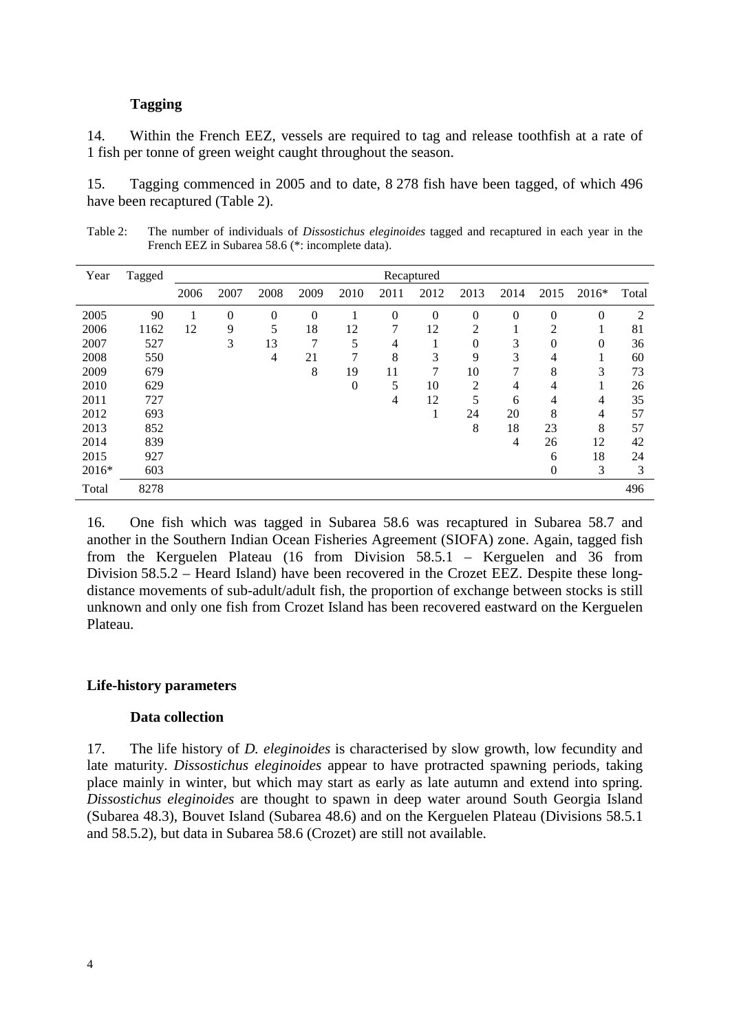### **Tagging**

14. Within the French EEZ, vessels are required to tag and release toothfish at a rate of 1 fish per tonne of green weight caught throughout the season.

15. Tagging commenced in 2005 and to date, 8 278 fish have been tagged, of which 496 have been recaptured (Table 2).

Table 2: The number of individuals of *Dissostichus eleginoides* tagged and recaptured in each year in the French EEZ in Subarea 58.6 (\*: incomplete data).

| Year    | Tagged | Recaptured |                |          |                |      |                |          |                |          |                  |         |       |
|---------|--------|------------|----------------|----------|----------------|------|----------------|----------|----------------|----------|------------------|---------|-------|
|         |        | 2006       | 2007           | 2008     | 2009           | 2010 | 2011           | 2012     | 2013           | 2014     | 2015             | $2016*$ | Total |
| 2005    | 90     |            | $\overline{0}$ | $\Omega$ | $\overline{0}$ |      | $\overline{0}$ | $\theta$ | $\overline{0}$ | $\theta$ | $\theta$         | 0       | 2     |
| 2006    | 1162   | 12         | 9              | 5        | 18             | 12   | 7              | 12       | 2              |          | 2                |         | 81    |
| 2007    | 527    |            | 3              | 13       | 7              | 5    | $\overline{4}$ |          | $\overline{0}$ | 3        | $\overline{0}$   | 0       | 36    |
| 2008    | 550    |            |                | 4        | 21             | 7    | 8              | 3        | 9              | 3        | 4                |         | 60    |
| 2009    | 679    |            |                |          | 8              | 19   | 11             | 7        | 10             | 7        | 8                | 3       | 73    |
| 2010    | 629    |            |                |          |                | 0    | 5              | 10       | $\overline{2}$ | 4        | 4                |         | 26    |
| 2011    | 727    |            |                |          |                |      | 4              | 12       | 5              | 6        | 4                | 4       | 35    |
| 2012    | 693    |            |                |          |                |      |                |          | 24             | 20       | 8                | 4       | 57    |
| 2013    | 852    |            |                |          |                |      |                |          | 8              | 18       | 23               | 8       | 57    |
| 2014    | 839    |            |                |          |                |      |                |          |                | 4        | 26               | 12      | 42    |
| 2015    | 927    |            |                |          |                |      |                |          |                |          | 6                | 18      | 24    |
| $2016*$ | 603    |            |                |          |                |      |                |          |                |          | $\boldsymbol{0}$ | 3       | 3     |
| Total   | 8278   |            |                |          |                |      |                |          |                |          |                  |         | 496   |

16. One fish which was tagged in Subarea 58.6 was recaptured in Subarea 58.7 and another in the Southern Indian Ocean Fisheries Agreement (SIOFA) zone. Again, tagged fish from the Kerguelen Plateau (16 from Division 58.5.1 – Kerguelen and 36 from Division 58.5.2 – Heard Island) have been recovered in the Crozet EEZ. Despite these longdistance movements of sub-adult/adult fish, the proportion of exchange between stocks is still unknown and only one fish from Crozet Island has been recovered eastward on the Kerguelen Plateau.

### **Life-history parameters**

### **Data collection**

17. The life history of *D. eleginoides* is characterised by slow growth, low fecundity and late maturity. *Dissostichus eleginoides* appear to have protracted spawning periods, taking place mainly in winter, but which may start as early as late autumn and extend into spring. *Dissostichus eleginoides* are thought to spawn in deep water around South Georgia Island (Subarea 48.3), Bouvet Island (Subarea 48.6) and on the Kerguelen Plateau (Divisions 58.5.1 and 58.5.2), but data in Subarea 58.6 (Crozet) are still not available.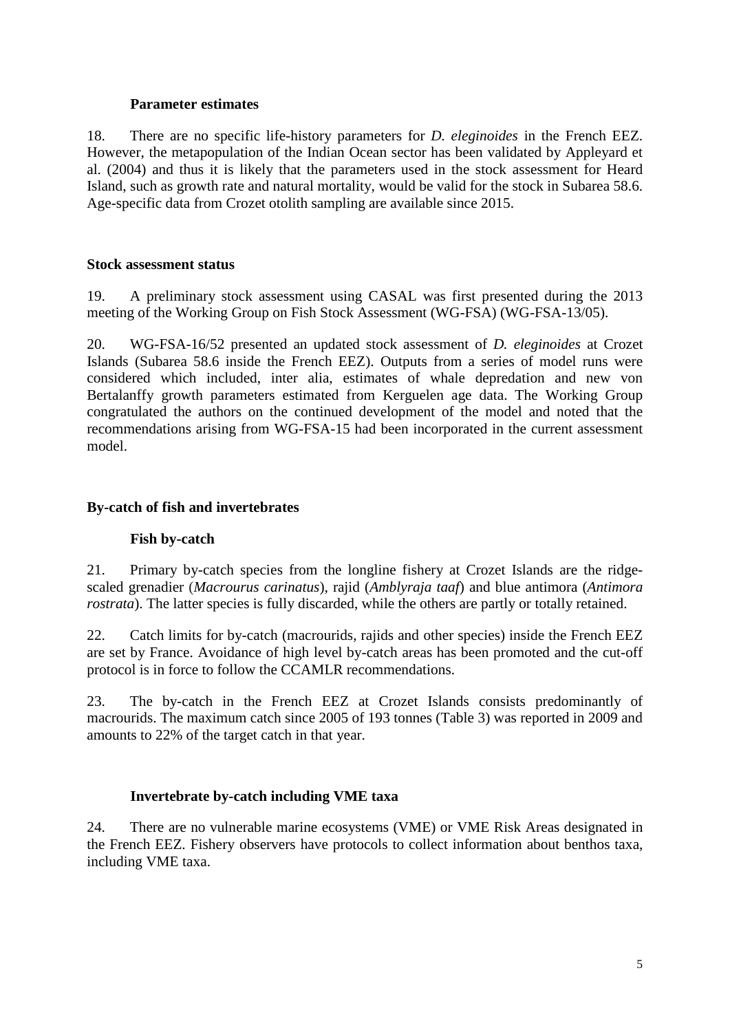## **Parameter estimates**

18. There are no specific life-history parameters for *D. eleginoides* in the French EEZ. However, the metapopulation of the Indian Ocean sector has been validated by Appleyard et al. (2004) and thus it is likely that the parameters used in the stock assessment for Heard Island, such as growth rate and natural mortality, would be valid for the stock in Subarea 58.6. Age-specific data from Crozet otolith sampling are available since 2015.

## **Stock assessment status**

19. A preliminary stock assessment using CASAL was first presented during the 2013 meeting of the Working Group on Fish Stock Assessment (WG-FSA) (WG-FSA-13/05).

20. WG-FSA-16/52 presented an updated stock assessment of *D. eleginoides* at Crozet Islands (Subarea 58.6 inside the French EEZ). Outputs from a series of model runs were considered which included, inter alia, estimates of whale depredation and new von Bertalanffy growth parameters estimated from Kerguelen age data. The Working Group congratulated the authors on the continued development of the model and noted that the recommendations arising from WG-FSA-15 had been incorporated in the current assessment model.

## **By-catch of fish and invertebrates**

## **Fish by-catch**

21. Primary by-catch species from the longline fishery at Crozet Islands are the ridgescaled grenadier (*Macrourus carinatus*), rajid (*Amblyraja taaf*) and blue antimora (*Antimora rostrata*). The latter species is fully discarded, while the others are partly or totally retained.

22. Catch limits for by-catch (macrourids, rajids and other species) inside the French EEZ are set by France. Avoidance of high level by-catch areas has been promoted and the cut-off protocol is in force to follow the CCAMLR recommendations.

23. The by-catch in the French EEZ at Crozet Islands consists predominantly of macrourids. The maximum catch since 2005 of 193 tonnes (Table 3) was reported in 2009 and amounts to 22% of the target catch in that year.

## **Invertebrate by-catch including VME taxa**

24. There are no vulnerable marine ecosystems (VME) or VME Risk Areas designated in the French EEZ. Fishery observers have protocols to collect information about benthos taxa, including VME taxa.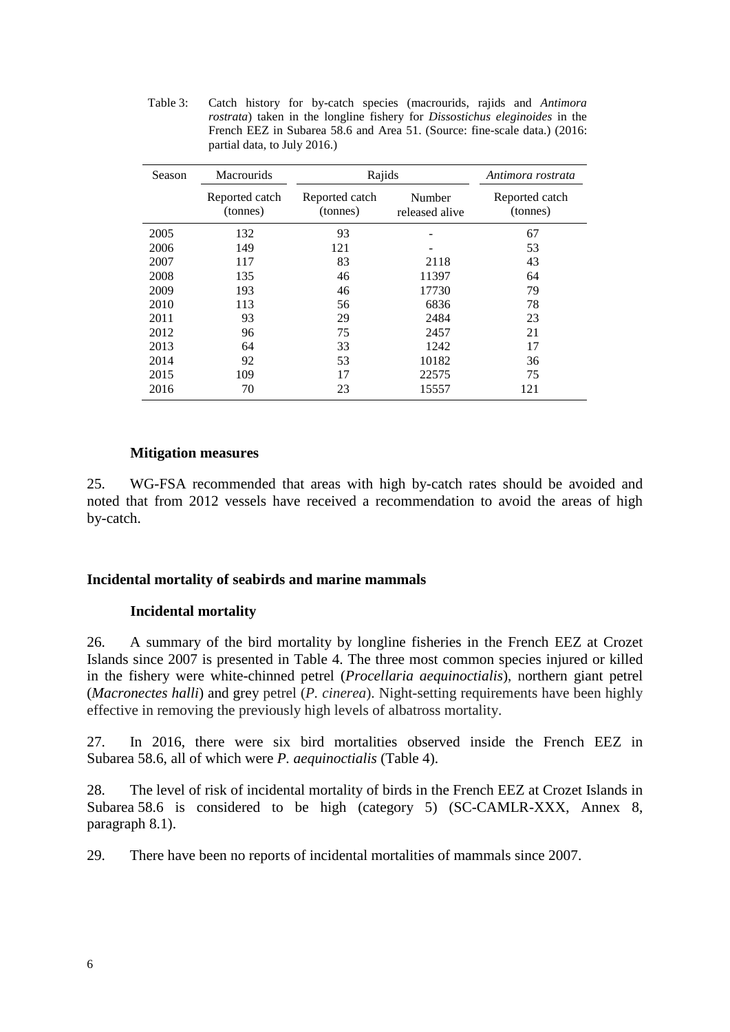Table 3: Catch history for by-catch species (macrourids, rajids and *Antimora rostrata*) taken in the longline fishery for *Dissostichus eleginoides* in the French EEZ in Subarea 58.6 and Area 51. (Source: fine-scale data.) (2016: partial data, to July 2016.)

| Season | <b>Macrourids</b>          | Rajids                     | Antimora rostrata        |                            |
|--------|----------------------------|----------------------------|--------------------------|----------------------------|
|        | Reported catch<br>(tonnes) | Reported catch<br>(tonnes) | Number<br>released alive | Reported catch<br>(tonnes) |
| 2005   | 132                        | 93                         |                          | 67                         |
| 2006   | 149                        | 121                        |                          | 53                         |
| 2007   | 117                        | 83                         | 2118                     | 43                         |
| 2008   | 135                        | 46                         | 11397                    | 64                         |
| 2009   | 193                        | 46                         | 17730                    | 79                         |
| 2010   | 113                        | 56                         | 6836                     | 78                         |
| 2011   | 93                         | 29                         | 2484                     | 23                         |
| 2012   | 96                         | 75                         | 2457                     | 21                         |
| 2013   | 64                         | 33                         | 1242                     | 17                         |
| 2014   | 92                         | 53                         | 10182                    | 36                         |
| 2015   | 109                        | 17                         | 22575                    | 75                         |
| 2016   | 70                         | 23                         | 15557                    | 121                        |

### **Mitigation measures**

25. WG-FSA recommended that areas with high by-catch rates should be avoided and noted that from 2012 vessels have received a recommendation to avoid the areas of high by-catch.

### **Incidental mortality of seabirds and marine mammals**

### **Incidental mortality**

26. A summary of the bird mortality by longline fisheries in the French EEZ at Crozet Islands since 2007 is presented in Table 4. The three most common species injured or killed in the fishery were white-chinned petrel (*Procellaria aequinoctialis*), northern giant petrel (*Macronectes halli*) and grey petrel (*P. cinerea*). Night-setting requirements have been highly effective in removing the previously high levels of albatross mortality.

27. In 2016, there were six bird mortalities observed inside the French EEZ in Subarea 58.6, all of which were *P. aequinoctialis* (Table 4).

28. The level of risk of incidental mortality of birds in the French EEZ at Crozet Islands in Subarea 58.6 is considered to be high (category 5) (SC-CAMLR-XXX, Annex 8, paragraph 8.1).

29. There have been no reports of incidental mortalities of mammals since 2007.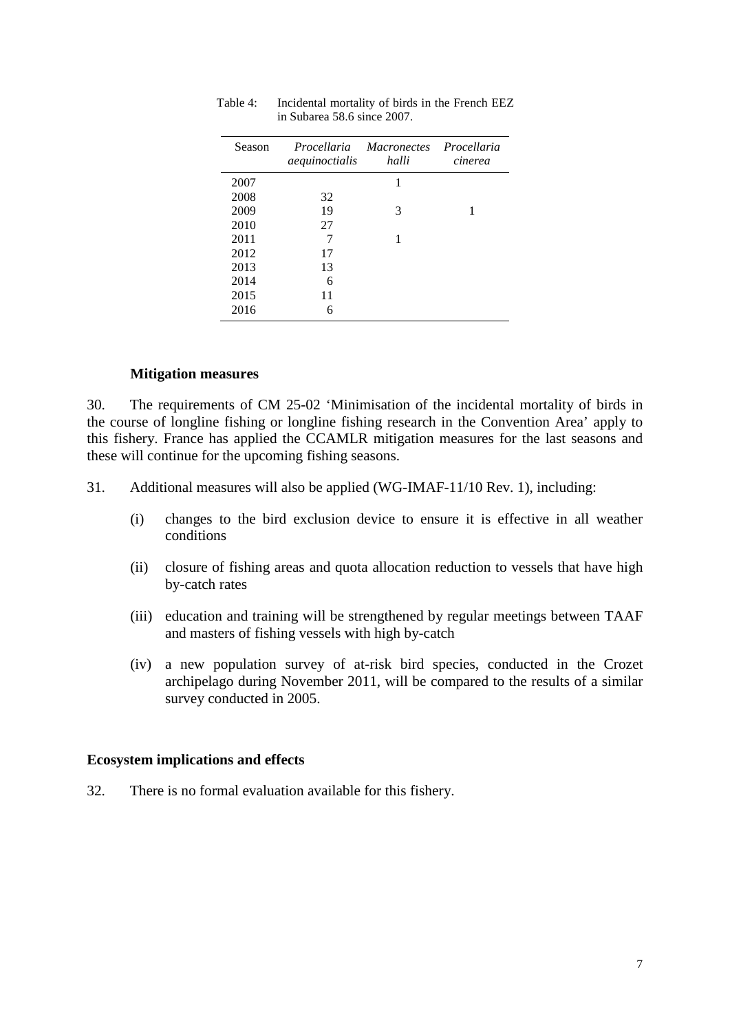| Season | Procellaria<br>aequinoctialis | <i>Macronectes</i><br>halli | Procellaria<br>cinerea |
|--------|-------------------------------|-----------------------------|------------------------|
| 2007   |                               | 1                           |                        |
| 2008   | 32                            |                             |                        |
| 2009   | 19                            | 3                           |                        |
| 2010   | 27                            |                             |                        |
| 2011   | 7                             | 1                           |                        |
| 2012   | 17                            |                             |                        |
| 2013   | 13                            |                             |                        |
| 2014   | 6                             |                             |                        |
| 2015   | 11                            |                             |                        |
| 2016   | 6                             |                             |                        |

Table 4: Incidental mortality of birds in the French EEZ in Subarea 58.6 since 2007.

### **Mitigation measures**

30. The requirements of CM 25-02 'Minimisation of the incidental mortality of birds in the course of longline fishing or longline fishing research in the Convention Area' apply to this fishery. France has applied the CCAMLR mitigation measures for the last seasons and these will continue for the upcoming fishing seasons.

- 31. Additional measures will also be applied (WG-IMAF-11/10 Rev. 1), including:
	- (i) changes to the bird exclusion device to ensure it is effective in all weather conditions
	- (ii) closure of fishing areas and quota allocation reduction to vessels that have high by-catch rates
	- (iii) education and training will be strengthened by regular meetings between TAAF and masters of fishing vessels with high by-catch
	- (iv) a new population survey of at-risk bird species, conducted in the Crozet archipelago during November 2011, will be compared to the results of a similar survey conducted in 2005.

#### **Ecosystem implications and effects**

32. There is no formal evaluation available for this fishery.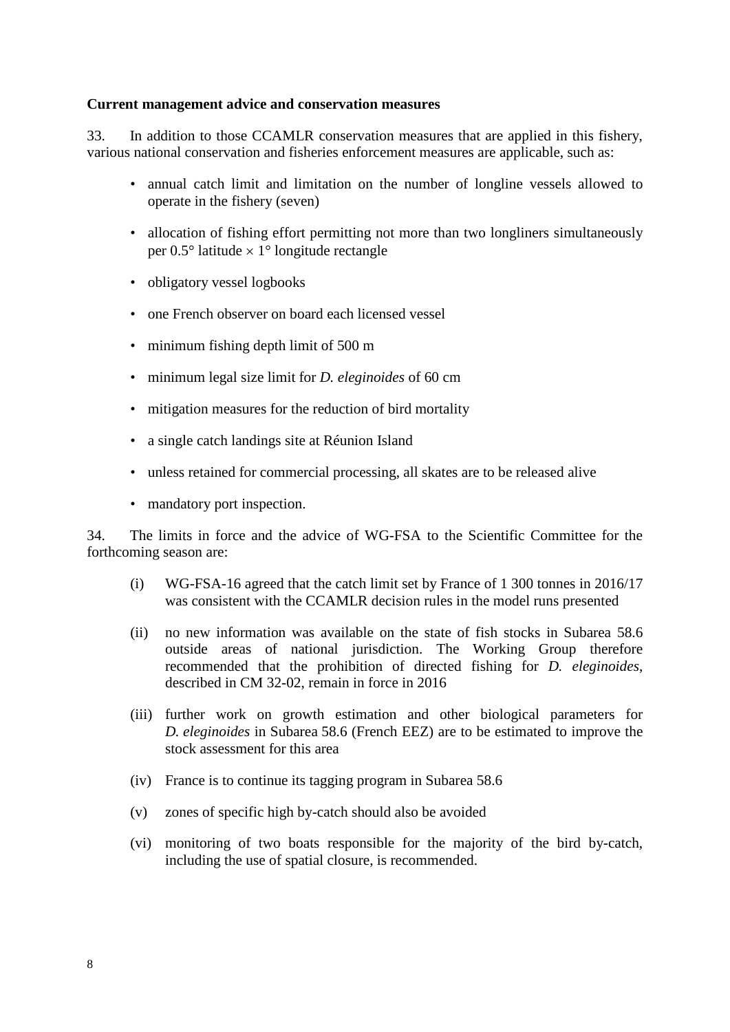### **Current management advice and conservation measures**

33. In addition to those CCAMLR conservation measures that are applied in this fishery, various national conservation and fisheries enforcement measures are applicable, such as:

- annual catch limit and limitation on the number of longline vessels allowed to operate in the fishery (seven)
- allocation of fishing effort permitting not more than two longliners simultaneously per  $0.5^{\circ}$  latitude  $\times$  1° longitude rectangle
- obligatory vessel logbooks
- one French observer on board each licensed vessel
- minimum fishing depth limit of 500 m
- minimum legal size limit for *D. eleginoides* of 60 cm
- mitigation measures for the reduction of bird mortality
- a single catch landings site at Réunion Island
- unless retained for commercial processing, all skates are to be released alive
- mandatory port inspection.

34. The limits in force and the advice of WG-FSA to the Scientific Committee for the forthcoming season are:

- (i) WG-FSA-16 agreed that the catch limit set by France of 1 300 tonnes in 2016/17 was consistent with the CCAMLR decision rules in the model runs presented
- (ii) no new information was available on the state of fish stocks in Subarea 58.6 outside areas of national jurisdiction. The Working Group therefore recommended that the prohibition of directed fishing for *D. eleginoides*, described in CM 32-02, remain in force in 2016
- (iii) further work on growth estimation and other biological parameters for *D. eleginoides* in Subarea 58.6 (French EEZ) are to be estimated to improve the stock assessment for this area
- (iv) France is to continue its tagging program in Subarea 58.6
- (v) zones of specific high by-catch should also be avoided
- (vi) monitoring of two boats responsible for the majority of the bird by-catch, including the use of spatial closure, is recommended.